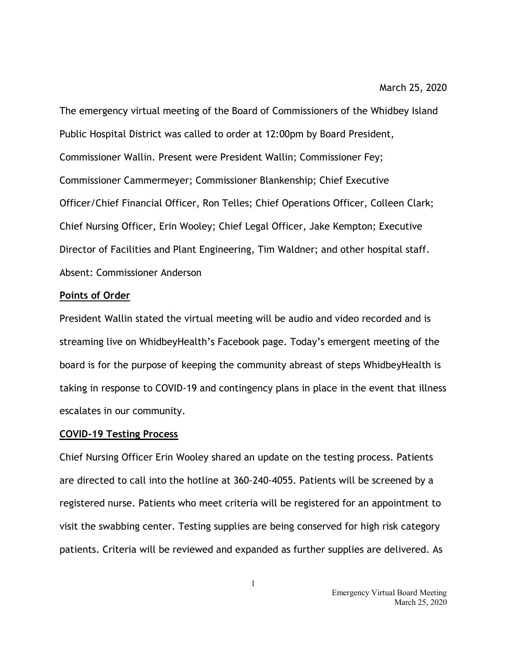The emergency virtual meeting of the Board of Commissioners of the Whidbey Island Public Hospital District was called to order at 12:00pm by Board President, Commissioner Wallin. Present were President Wallin; Commissioner Fey; Commissioner Cammermeyer; Commissioner Blankenship; Chief Executive Officer/Chief Financial Officer, Ron Telles; Chief Operations Officer, Colleen Clark; Chief Nursing Officer, Erin Wooley; Chief Legal Officer, Jake Kempton; Executive Director of Facilities and Plant Engineering, Tim Waldner; and other hospital staff. Absent: Commissioner Anderson

## **Points of Order**

President Wallin stated the virtual meeting will be audio and video recorded and is streaming live on WhidbeyHealth's Facebook page. Today's emergent meeting of the board is for the purpose of keeping the community abreast of steps WhidbeyHealth is taking in response to COVID-19 and contingency plans in place in the event that illness escalates in our community.

## **COVID-19 Testing Process**

Chief Nursing Officer Erin Wooley shared an update on the testing process. Patients are directed to call into the hotline at 360-240-4055. Patients will be screened by a registered nurse. Patients who meet criteria will be registered for an appointment to visit the swabbing center. Testing supplies are being conserved for high risk category patients. Criteria will be reviewed and expanded as further supplies are delivered. As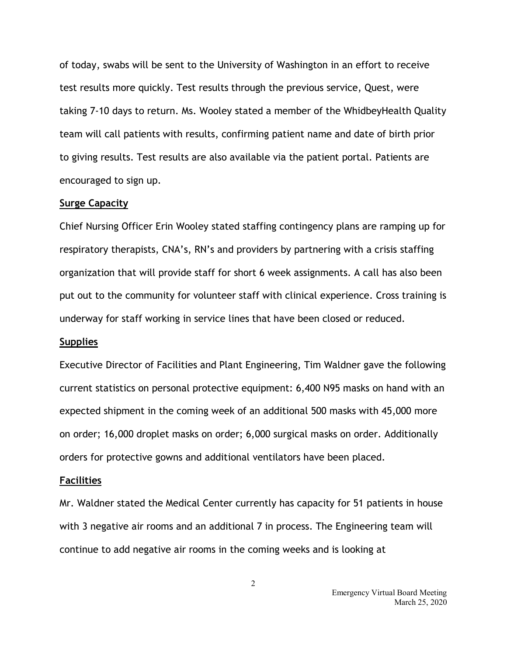of today, swabs will be sent to the University of Washington in an effort to receive test results more quickly. Test results through the previous service, Quest, were taking 7-10 days to return. Ms. Wooley stated a member of the WhidbeyHealth Quality team will call patients with results, confirming patient name and date of birth prior to giving results. Test results are also available via the patient portal. Patients are encouraged to sign up.

#### **Surge Capacity**

Chief Nursing Officer Erin Wooley stated staffing contingency plans are ramping up for respiratory therapists, CNA's, RN's and providers by partnering with a crisis staffing organization that will provide staff for short 6 week assignments. A call has also been put out to the community for volunteer staff with clinical experience. Cross training is underway for staff working in service lines that have been closed or reduced.

#### **Supplies**

Executive Director of Facilities and Plant Engineering, Tim Waldner gave the following current statistics on personal protective equipment: 6,400 N95 masks on hand with an expected shipment in the coming week of an additional 500 masks with 45,000 more on order; 16,000 droplet masks on order; 6,000 surgical masks on order. Additionally orders for protective gowns and additional ventilators have been placed.

#### **Facilities**

Mr. Waldner stated the Medical Center currently has capacity for 51 patients in house with 3 negative air rooms and an additional 7 in process. The Engineering team will continue to add negative air rooms in the coming weeks and is looking at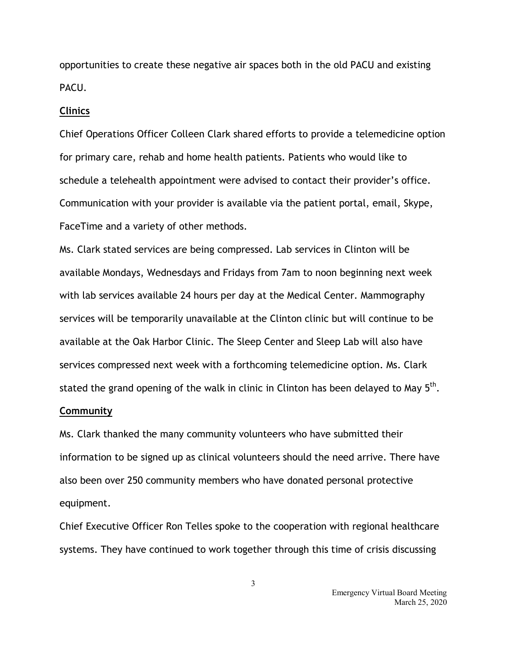opportunities to create these negative air spaces both in the old PACU and existing PACU.

## **Clinics**

Chief Operations Officer Colleen Clark shared efforts to provide a telemedicine option for primary care, rehab and home health patients. Patients who would like to schedule a telehealth appointment were advised to contact their provider's office. Communication with your provider is available via the patient portal, email, Skype, FaceTime and a variety of other methods.

Ms. Clark stated services are being compressed. Lab services in Clinton will be available Mondays, Wednesdays and Fridays from 7am to noon beginning next week with lab services available 24 hours per day at the Medical Center. Mammography services will be temporarily unavailable at the Clinton clinic but will continue to be available at the Oak Harbor Clinic. The Sleep Center and Sleep Lab will also have services compressed next week with a forthcoming telemedicine option. Ms. Clark stated the grand opening of the walk in clinic in Clinton has been delayed to May  $5<sup>th</sup>$ .

### **Community**

Ms. Clark thanked the many community volunteers who have submitted their information to be signed up as clinical volunteers should the need arrive. There have also been over 250 community members who have donated personal protective equipment.

Chief Executive Officer Ron Telles spoke to the cooperation with regional healthcare systems. They have continued to work together through this time of crisis discussing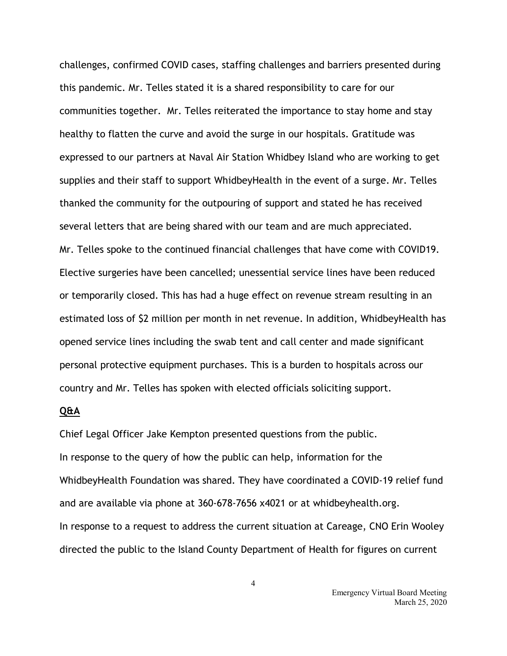challenges, confirmed COVID cases, staffing challenges and barriers presented during this pandemic. Mr. Telles stated it is a shared responsibility to care for our communities together. Mr. Telles reiterated the importance to stay home and stay healthy to flatten the curve and avoid the surge in our hospitals. Gratitude was expressed to our partners at Naval Air Station Whidbey Island who are working to get supplies and their staff to support WhidbeyHealth in the event of a surge. Mr. Telles thanked the community for the outpouring of support and stated he has received several letters that are being shared with our team and are much appreciated. Mr. Telles spoke to the continued financial challenges that have come with COVID19. Elective surgeries have been cancelled; unessential service lines have been reduced or temporarily closed. This has had a huge effect on revenue stream resulting in an estimated loss of \$2 million per month in net revenue. In addition, WhidbeyHealth has opened service lines including the swab tent and call center and made significant personal protective equipment purchases. This is a burden to hospitals across our country and Mr. Telles has spoken with elected officials soliciting support.

# **Q&A**

Chief Legal Officer Jake Kempton presented questions from the public. In response to the query of how the public can help, information for the WhidbeyHealth Foundation was shared. They have coordinated a COVID-19 relief fund and are available via phone at 360-678-7656 x4021 or at whidbeyhealth.org. In response to a request to address the current situation at Careage, CNO Erin Wooley directed the public to the Island County Department of Health for figures on current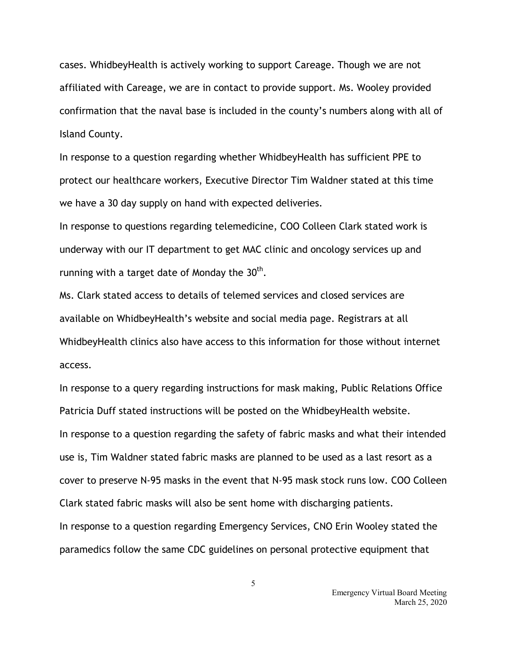cases. WhidbeyHealth is actively working to support Careage. Though we are not affiliated with Careage, we are in contact to provide support. Ms. Wooley provided confirmation that the naval base is included in the county's numbers along with all of Island County.

In response to a question regarding whether WhidbeyHealth has sufficient PPE to protect our healthcare workers, Executive Director Tim Waldner stated at this time we have a 30 day supply on hand with expected deliveries.

In response to questions regarding telemedicine, COO Colleen Clark stated work is underway with our IT department to get MAC clinic and oncology services up and running with a target date of Monday the  $30<sup>th</sup>$ .

Ms. Clark stated access to details of telemed services and closed services are available on WhidbeyHealth's website and social media page. Registrars at all WhidbeyHealth clinics also have access to this information for those without internet access.

In response to a query regarding instructions for mask making, Public Relations Office Patricia Duff stated instructions will be posted on the WhidbeyHealth website. In response to a question regarding the safety of fabric masks and what their intended use is, Tim Waldner stated fabric masks are planned to be used as a last resort as a cover to preserve N-95 masks in the event that N-95 mask stock runs low. COO Colleen Clark stated fabric masks will also be sent home with discharging patients. In response to a question regarding Emergency Services, CNO Erin Wooley stated the paramedics follow the same CDC guidelines on personal protective equipment that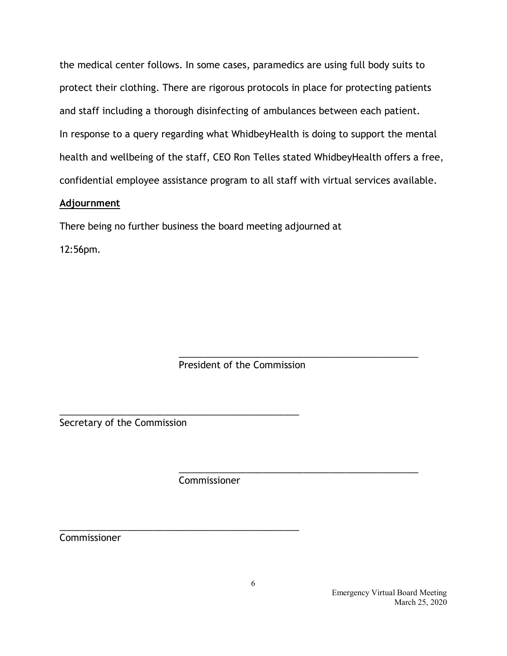the medical center follows. In some cases, paramedics are using full body suits to protect their clothing. There are rigorous protocols in place for protecting patients and staff including a thorough disinfecting of ambulances between each patient. In response to a query regarding what WhidbeyHealth is doing to support the mental health and wellbeing of the staff, CEO Ron Telles stated WhidbeyHealth offers a free, confidential employee assistance program to all staff with virtual services available.

# **Adjournment**

There being no further business the board meeting adjourned at

12:56pm.

\_\_\_\_\_\_\_\_\_\_\_\_\_\_\_\_\_\_\_\_\_\_\_\_\_\_\_\_\_\_\_\_\_\_\_\_\_\_\_\_\_\_\_\_\_\_ President of the Commission

Secretary of the Commission

**Commissioner** 

\_\_\_\_\_\_\_\_\_\_\_\_\_\_\_\_\_\_\_\_\_\_\_\_\_\_\_\_\_\_\_\_\_\_\_\_\_\_\_\_\_\_\_\_\_\_

\_\_\_\_\_\_\_\_\_\_\_\_\_\_\_\_\_\_\_\_\_\_\_\_\_\_\_\_\_\_\_\_\_\_\_\_\_\_\_\_\_\_\_\_\_\_

Commissioner

\_\_\_\_\_\_\_\_\_\_\_\_\_\_\_\_\_\_\_\_\_\_\_\_\_\_\_\_\_\_\_\_\_\_\_\_\_\_\_\_\_\_\_\_\_\_